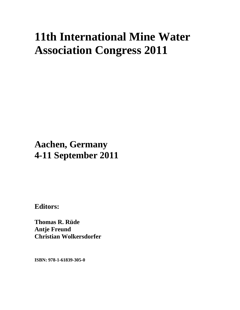# **11th International Mine Water Association Congress 2011**

## **Aachen, Germany 4-11 September 2011**

**Editors:** 

**Thomas R. Rüde Antje Freund Christian Wolkersdorfer** 

**ISBN: 978-1-61839-305-0**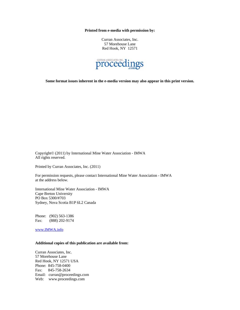**Printed from e-media with permission by:** 

Curran Associates, Inc. 57 Morehouse Lane Red Hook, NY 12571



**Some format issues inherent in the e-media version may also appear in this print version.** 

Copyright© (2011) by International Mine Water Association - IMWA All rights reserved.

Printed by Curran Associates, Inc. (2011)

For permission requests, please contact International Mine Water Association - IMWA at the address below.

International Mine Water Association - IMWA Cape Breton University PO Box 5300/#703 Sydney, Nova Scotia B1P 6L2 Canada

Phone: (902) 563-1386 Fax: (888) 202-9174

www.IMWA.info

#### **Additional copies of this publication are available from:**

Curran Associates, Inc. 57 Morehouse Lane Red Hook, NY 12571 USA Phone: 845-758-0400 Fax: 845-758-2634 Email: curran@proceedings.com Web: www.proceedings.com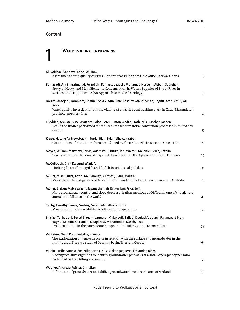### Content

**1 WATER ISSUES IN OPEN PIT MINING** 

| Ali, Michael Sandow; Addo, William<br>Assessment of the quality of Block 4 pit water at Iduapriem Gold Mine, Tarkwa, Ghana                                                                                                                    | 3  |
|-----------------------------------------------------------------------------------------------------------------------------------------------------------------------------------------------------------------------------------------------|----|
| Baniasadi, Ali; Sharafinejad, Feizollah; Baniassadzadeh, Mohamad Hossein; Akbari, Sedigheh<br>Study of Heavy and Main Elements Concentration in Waters Supplies of Shour River in<br>Sarcheshmeh copper mine (An Approach to Medical Geology) | 7  |
| Doulati Ardejani, Faramarz; Shafaei, Seid Ziadin; Shahhoseiny, Majid; Singh, Raghu; Arab-Amiri, Ali<br>Reza                                                                                                                                   |    |
| Water quality investigations in the vicinity of an active coal washing plant in Zirab, Mazandaran<br>province, northern Iran                                                                                                                  | 11 |
| Friedrich, Annika; Guse, Matthes; Jolas, Peter; Símon, Andre; Hoth, Nils; Rascher, Jochen<br>Results of studies performed for reduced impact of material conversion processes in mixed soil<br>dumps                                          | 17 |
| Kruse, Natalie A; Brewster, Kimberly; Blair, Brian; Shaw, Kaabe<br>Contribution of Aluminum from Abandoned Surface Mine Pits in Raccoon Creek, Ohio                                                                                           | 23 |
| Mayes, William Matthew; Jarvis, Adam Paul; Burke, Ian; Walton, Melanie; Gruiz, Katalin<br>Trace and rare earth element dispersal downstream of the Ajka red mud spill, Hungary                                                                | 29 |
| McCullough, Clint D.; Lund, Mark A.<br>Limiting factors for crayfish and finfish in acidic coal pit lakes                                                                                                                                     | 35 |
| Müller, Mike; Eulitz, Katja; McCullough, Clint M.; Lund, Mark A.<br>Model-based Investigations of Acidity Sources and Sinks of a Pit Lake in Western Australia                                                                                | 41 |
| Müller, Stefan; Mylvaganam, Jayanathan; de Bruyn, Ian; Price, Jeff<br>Mine groundwater control and slope depressurisation methods at Ok Tedi in one of the highest<br>annual rainfall areas in the world                                      | 47 |
| Saxby, Timothy James; Gosling, Sarah; McCafferty, Fiona<br>Managing climatic variability risks for mining operations                                                                                                                          | 53 |
| Shafaei Tonkaboni, Seyed Ziaedin; Jannesar Malakooti, Sajjad; Doulati Ardejani, Faramarz; Singh,<br>Raghu; Soleimani, Esmail; Noaparast, Mohammad; Naseh, Reza<br>Pyrite oxidation in the Sarcheshmeh copper mine tailings dam, Kerman, Iran  | 59 |
| Vasileiou, Eleni; Koumantakis, Ioannis<br>The exploitation of lignite deposits in relation with the surface and groundwater in the<br>mining area. The case study of Potamia basin, Thessaly, Greece                                          | 65 |
| Villain, Lucile; Sundström, Nils; Perttu, Nils; Alakangas, Lena; Öhlander, Björn<br>Geophysical investigations to identify groundwater pathways at a small open-pit copper mine<br>reclaimed by backfilling and sealing                       | 71 |
| Wagner, Andreas; Müller, Christian<br>Infiltration of groundwater to stabilize groundwater levels in the area of wetlands                                                                                                                     | 77 |
|                                                                                                                                                                                                                                               |    |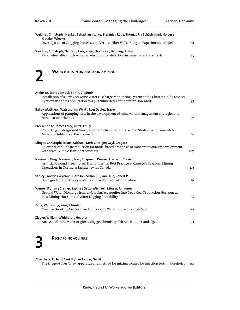| Weidner, Christoph; Henkel, Sebastian; Lorke, Stefanie; Rüde, Thomas R.; Schüttrumpf, Holger;<br>Klauder, Wiebke                                                                                                         |     |
|--------------------------------------------------------------------------------------------------------------------------------------------------------------------------------------------------------------------------|-----|
| Investigation of Clogging Processes on Vertical Filter Wells Using an Experimental Model                                                                                                                                 | 79  |
| Weidner, Christoph; Naurath, Lara; Rüde, Thomas R.; Banning, Andre                                                                                                                                                       |     |
| Parameters affecting Na-fluorescein (uranine) detection in mine water tracer tests                                                                                                                                       | 85  |
| <b>WATER ISSUES IN UNDERGROUND MINING</b>                                                                                                                                                                                |     |
| Atkinson, Scott Consaul; Stihin, Vladimir<br>Installation of a Low-Cost Mine Water Discharge Monitoring System at the Charaat Gold Prospect,<br>Kyrgyzstan and its Application to a 3-D Numerical Groundwater Flow Model | 93  |
| Bailey, Matthew; Watson, Ian; Wyatt, Lee; Davies, Tracey<br>Applications of pumping tests in the development of mine water management strategies and<br>remediation schemes                                              | 97  |
| Breckenridge, James Larry; Luscz, Emily<br>Predicting Underground Mine Dewatering Requirements: A Case Study of a Precious Metal<br>Mine in a Subtropical Environment                                                    | 101 |
| Klinger, Christoph; Eckart, Michael; Kories, Holger; Gzyl, Gregorz<br>Relevance of sulphate reduction for model based prognosis of mine water quality development<br>with reactive mass transport concepts               | 107 |
| Newman, Greg; Newman, Lori; Chapman, Denise; Harbicht, Travis<br>Artificial Ground Freezing: An Environmental Best Practice at Cameco's Uranium Mining<br>Operations in Northern Saskatchewan, Canada                    | 113 |
| van Zyl, Andries Wynand; Harrison, Susan T.L.; van Hille, Robert P.<br>Biodegradation of thiocyanate by a mixed microbial population                                                                                     | 119 |
| Werner, Florian; Cremer, Sabine; Getta, Michael; Messer, Johannes<br>Ground Water Discharge from a Near Surface Aquifer into Deep Coal Production Horizons as<br>Post Mining Hot Spots of Water Logging Probability      | 125 |
| Yang, Wensheng; Yang, Chunlai<br>Creative Grouting Method Used in Blocking Water Inflow in a Shaft Wall                                                                                                                  | 129 |
| Ziegler, William; Middleton, Heather<br>Analysis of mine water origins using geochemistry, Tritium isotopes and algae                                                                                                    | 133 |

### RECHARGING AQUIFERS

Akoachere, Richard Ayuk II ; Van Tonder, Gerrit

The trigger-tube: A new apparatus and method for mixing solutes for injection tests in boreholes 141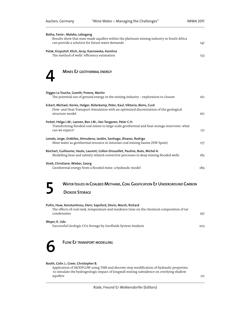| Botha, Fanie ; Maleka, Lebogang<br>Results show that man-made aquifers within the platinum mining industry in South Africa<br>can provide a solution for future water demands              | 147 |
|--------------------------------------------------------------------------------------------------------------------------------------------------------------------------------------------|-----|
| Polak, Krzysztof; Klich, Jerzy; Kaznowska, Karolina<br>The method of wells' efficiency estimation                                                                                          | 153 |
| MINES & GEOTHERMAL ENERGY                                                                                                                                                                  |     |
| Digges La Touche, Gareth; Preene, Martin<br>The potential use of ground energy in the mining industry - exploration to closure                                                             | 161 |
| Eckart, Michael; Kories, Holger; Rüterkamp, Peter; Kaul, Viktoria; Bems, Curd<br>Flow- and Heat-Transport-Simulation with an optimized discretization of the geological<br>structure model | 167 |
| Ferket, Helga L.W.; Laenen, Ben J.M.; Van Tongeren, Peter C.H.<br>Transforming flooded coal mines to large-scale geothermal and heat storage reservoirs: what<br>can we expect?            | 171 |
| Loredo, Jorge; Ordóñez, Almudena; Jardón, Santiago; Álvarez, Rodrigo<br>Mine water as geothermal resource in Asturian coal mining basins (NW Spain)                                        | 177 |
| Reichart, Guillaume; Vaute, Laurent; Collon-Drouaillet, Pauline; Buès, Michel A.<br>Modelling heat and salinity related convective processes in deep mining flooded wells                  | 183 |
| Streb, Christiane; Wieber, Georg<br>Geothermal energy from a flooded mine: a hydraulic model                                                                                               | 189 |
| WATER ISSUES IN COALBED METHANE, COAL GASIFICATION & UNDERGROUND CARBON<br>5                                                                                                               |     |
| <b>DIOXIDE STORAGE</b>                                                                                                                                                                     |     |
| Pullin, Huw; Konstantinou, Eleni; Sapsford, Devin; Marsh, Richard<br>The effects of coal rank, temperature and residence time on the chemical composition of tar<br>condensates            | 197 |
| Weyer, K. Udo<br>Successful Geologic CO2 Storage by Geofluids System Analysis                                                                                                              | 203 |
| <b>FLOW &amp; TRANSPORT MODELLING</b>                                                                                                                                                      |     |
| Booth, Colin J.; Greer, Christopher B.<br>Application of MODELOW using TMP and discrete-stap modification of bydraulic proporties                                                          |     |

Application of MODFLOW using TMR and discrete-step modification of hydraulic properties to simulate the hydrogeologic impact of longwall mining subsidence on overlying shallow aquifers 211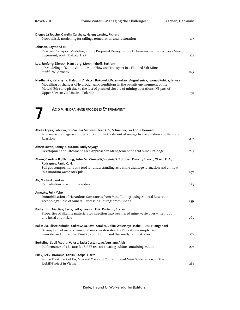| Digges La Touche, Gareth; Culshaw, Helen; Lansley, Richard<br>Probabilistic modelling for tailings remediation and restoration                                                                                                                                                                                           | 217 |
|--------------------------------------------------------------------------------------------------------------------------------------------------------------------------------------------------------------------------------------------------------------------------------------------------------------------------|-----|
| Johnson, Raymond H.<br>Reactive Transport Modeling for the Proposed Dewey Burdock Uranium In-Situ Recovery Mine,<br>Edgemont, South Dakota, USA                                                                                                                                                                          | 221 |
| Luo, Junfeng; Diersch, Hans-Jörg; Monninkhoff, Bertram<br>3D Modeling of Saline Groundwater Flow and Transport in a Flooded Salt Mine,<br>Staßfurt/Germany                                                                                                                                                               | 225 |
| Niedbalska, Katarzyna; Haładus, Andrzej; Bukowski, Przemysław; Augustyniak, Iwona; Kubica, Janusz<br>Modelling of changes of hydrodynamic conditions in the aquatic environment of the<br>Maczki-Bór sand pit due to the fact of planned closure of mining operations (NE part of<br>Upper Silesian Coal Basin – Poland) |     |



ACID MINE DRAINAGE PROCESSES & TREATMENT

| Abella Lopes, Fabrício; dos Santos Menezes, Jean C.S.; Schneider, Ivo André Homrich<br>Acid mine drainage as source of iron for the treatment of sewage by coagulation and Fenton's                                                                      |     |
|----------------------------------------------------------------------------------------------------------------------------------------------------------------------------------------------------------------------------------------------------------|-----|
| Reaction                                                                                                                                                                                                                                                 | 237 |
| Abfertiawan, Sonny; Gautama, Rudy Sayoga<br>Development of Catchment Area Approach in Management of Acid Mine Drainage                                                                                                                                   | 241 |
| Abreu, Carolina B.; Fleming, Peter M.; Ciminelli, Virginia S. T.; Lopez, Dina L.; Branco, Otávio E. A.;<br>Rodrigues, Paulo C. H.                                                                                                                        |     |
| Soil gas compositions as a tool for understanding acid mine drainage formation and air flow<br>in a uranium waste rock pile                                                                                                                              | 247 |
| Ali, Michael Sandow<br>Remediation of acid mine waters                                                                                                                                                                                                   | 253 |
| Amoako, Felix Yebo<br>Immobilisation of Hazardous Substances from Mine Tailings using Mineral Reservoir<br>Technology: Case of Mineral Processing Tailings from Ghana                                                                                    | 259 |
| Bäckström, Mattias; Sartz, Lotta; Larsson, Erik; Karlsson, Stefan<br>Properties of alkaline materials for injection into weathered mine waste piles - methods<br>and intial pilot trials                                                                 | 265 |
| Bakatula, Elisee Nsimba; Cukrowska, Ewa; Straker, Colin; Weiersbye, Isabel; Tutu, Hlanganani<br>Biosorption of metals from gold mine wastewaters by Penicillium simplicissimum<br>immobilized on zeolite: Kinetic, equilibrium and thermodynamic studies | 271 |
| Bertolino, Sueli Moura; Veloso, Tacia Costa; Leao, Versiane Albis<br>Performance of a lactate-fed UASB reactor treating sulfate containing waters                                                                                                        | 277 |
| Bilek, Felix; Brömme, Katrin; Stolpe, Harro<br>Active Treatment of Fe-, Mn- and Coaldust Contaminated Mine Water as Part of the<br>RAME-Project in Vietnam                                                                                               | 281 |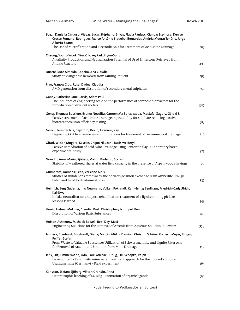| Buzzi, Daniella Cardoso; Viegas, Lucas Stéphano; Silvas, Flávia Paulucci Cianga; Espinosa, Denise<br>Crocce Romano; Rodrigues, Marco Antônio Siqueira; Bernardes, Andréa Moura; Tenório, Jorge<br><b>Alberto Soares</b>     |     |
|-----------------------------------------------------------------------------------------------------------------------------------------------------------------------------------------------------------------------------|-----|
| The Use of Microfiltration and Electrodialysis for Treatment of Acid Mine Drainage                                                                                                                                          | 287 |
| Cheong, Young-Wook; Yim, Gil-Jae; Park, Hyun-Sung<br>Alkalinity Production and Neutralization Potential of Used Limestone Retrieved from<br><b>Anoxic Reactors</b>                                                          | 293 |
| Duarte, Rute Almeida; Ladeira, Ana Claudia<br>Study of Manganese Removal from Mining Effluent                                                                                                                               | 297 |
| Frau, Franco; Cidu, Rosa; Dadea, Claudia<br>AMD generation from dissolution of secondary metal sulphates                                                                                                                    | 301 |
| Gandy, Catherine Jane; Jarvis, Adam Paul<br>The influence of engineering scale on the performance of compost bioreactors for the<br>remediation of divalent metals                                                          | 307 |
| Genty, Thomas; Bussière, Bruno; Neculita, Carmen M.; Benzaazoua, Mostafa; Zagury, Gérald J.<br>Passive treatment of acid mine drainage: repeatability for sulphate reducing passive<br>bioreactor column efficiency testing | 313 |
| Geroni, Jennifer Nia; Sapsford, Devin; Florence, Kay<br>Degassing CO2 from mine water: implications for treatment of circumneutral drainage                                                                                 | 319 |
| Gitari, Wilson Mugera; Kaseke, Chipo; Nkuzani, Busisiwe Beryl<br>Passive Remediation of Acid Mine Drainage using Bentonite clay: A Laboratory batch<br>experimental study                                                   | 325 |
| Grandin, Anna Maria; Sjöberg, Viktor; Karlsson, Stefan<br>Stability of weathered shales at water field capacity in the presence of Aspen wood shavings                                                                      | 331 |
| Guimarães, Damaris; Leao, Versiane Albis<br>Studies of sulfate ions removal by the polyacrylic anion exchange resin Amberlite IRA458:<br>batch and fixed-bed column studies                                                 | 337 |
| Heinrich, Ben; Guderitz, Ina; Neumann, Volker; Pokrandt, Karl-Heinz; Benthaus, Friedrich-Carl; Ulrich,<br>Kai-Uwe                                                                                                           |     |
| In-lake neutralisation and post-rehabilitation treatment of a lignite mining pit lake -<br>lessons learned                                                                                                                  | 343 |
| Honig, Helma; Metzger, Claudia; Pust, Christopher; Schüppel, Ben<br>Dissolution of Various Basic Substances                                                                                                                 | 349 |
| Hutton-Ashkenny, Michael; Bowell, Rob; Dey, Matt<br>Engineering Solutions for the Removal of Arsenic from Aqueous Solution: A Review                                                                                        | 353 |
| Janneck, Eberhard; Burghardt, Diana; Martin, Mirko; Damian, Christin; Schöne, Gisbert; Meyer, Jürgen;<br>Peiffer, Stefan                                                                                                    |     |
| From Waste to Valuable Substance: Utilization of Schwertmannite and Lignite Filter Ash<br>for Removal of Arsenic and Uranium from Mine Drainage                                                                             | 359 |
| Jenk, Ulf; Zimmermann, Udo; Paul, Michael; Uhlig, Uli; Schöpke, Ralph<br>Development of an in-situ mine water treatment approach for the flooded Königstein<br>Uranium mine (Germany) - Field experiment                    | 365 |
| Karlsson, Stefan; Sjöberg, Viktor; Grandin, Anna<br>Heterotrophic leaching of LD-slag - Formation of organic ligands                                                                                                        | 371 |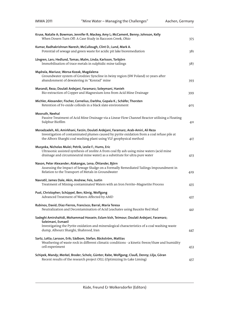| Kruse, Natalie A; Bowman, Jennifer R; Mackey, Amy L; McCament, Benny; Johnson, Kelly<br>When Dosers Turn Off: A Case Study in Raccoon Creek, Ohio                                                                                                        | 375 |
|----------------------------------------------------------------------------------------------------------------------------------------------------------------------------------------------------------------------------------------------------------|-----|
| Kumar, Radhakrishnan Naresh; McCullough, Clint D.; Lund, Mark A.<br>Potential of sewage and green waste for acidic pit lake bioremediation                                                                                                               | 381 |
| Lövgren, Lars; Hedlund, Tomas; Malm, Linda; Karlsson, Torbjörn<br>Immobilisation of trace metals in sulphidic mine tailings                                                                                                                              | 387 |
| Mądrala, Mariusz; Worsa-Kozak, Magdalena<br>Groundwater system of Grodziec Syncline in Iwiny region (SW Poland) 10 years after<br>abandonment of dewatering in "Konrad" mine                                                                             | 393 |
| Marandi, Reza; Doulati Ardejani, Faramarz; Soleymani, Hanieh<br>Bio-extraction of Copper and Magnesium Ions from Acid Mine Drainage                                                                                                                      | 399 |
| Michler, Alexander; Fischer, Cornelius; Darbha, Gopala K.; Schäfer, Thorsten<br>Retention of Fe-oxide colloids in a black slate environment                                                                                                              | 405 |
| Mooruth, Neehal<br>Passive Treatment of Acid Mine Drainage via a Linear Flow Channel Reactor utilising a Floating<br>Sulphur Biofilm                                                                                                                     | 411 |
| Moradzadeh, Ali; Amirkhani, Farzin; Doulati Ardejani, Faramarz; Arab-Amiri, Ali Reza<br>Investigation of contaminated plumes caused by pyrite oxidation from a coal refuse pile at<br>the Alborz Sharghi coal washing plant using VLF geophysical method | 417 |
| Musyoka, Nicholas Mulei; Petrik, Leslie F.; Hums, Eric<br>Ultrasonic assisted synthesis of zeolite A from coal fly ash using mine waters (acid mine<br>drainage and circumneutral mine water) as a substitute for ultra pure water                       | 423 |
| Nason, Peter Alexander; Alakangas, Lena; Öhlander, Björn<br>Assessing the Impact of Sewage Sludge on a Formally Remediated Tailings Impoundment in<br>Relation to the Transport of Metals in Groundwater                                                 | 429 |
| Navratil, James Dale; Akin, Andrew; Feis, Justin<br>Treatment of Mining-contaminated Waters with an Iron Ferrite-Magnetite Process                                                                                                                       | 435 |
| Pust, Christopher; Schüppel, Ben; König, Wolfgang<br>Advanced Treatment of Waters Affected by AMD                                                                                                                                                        | 437 |
| Rubinos, David; Díaz-Fierros, Francisco; Barral, María Teresa<br>Neutralization and Decontamination of Acid Leachates using Bauxite Red Mud                                                                                                              | 441 |
| Sadeghi Amirshahidi, Mohammad Hossein; Eslam kish, Teimour; Doulati Ardejani, Faramarz;<br>Soleimani, Esmaeil<br>Investigating the Pyrite oxidation and mineralogical characteristics of a coal washing waste<br>dump, Albourz Sharghi, Shahrood, Iran   | 447 |
| Sartz, Lotta; Larsson, Erik; Sädbom, Stefan; Bäckström, Mattias<br>Weathering of waste rock in different climatic conditions - a kinetic freeze/thaw and humidity<br>cell experiment                                                                     | 453 |
| Schipek, Mandy; Merkel, Broder; Scholz, Günter; Rabe, Wolfgang; Clauß, Denny; Lilja, Göran<br>Recent results of the research project OILL (Optimizing In-Lake Liming)                                                                                    | 457 |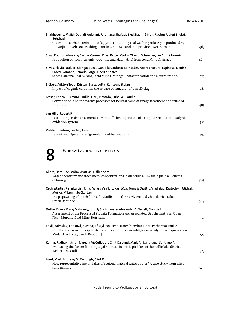| Shahhoseiny, Majid; Doulati Ardejani, Faramarz; Shafaei, Sied Ziadin; Singh, Raghu; Jodieri Shokri,<br><b>Behshad</b>                                                                                                                    |     |
|------------------------------------------------------------------------------------------------------------------------------------------------------------------------------------------------------------------------------------------|-----|
| Geochemical characterization of a pyrite containing coal washing refuse pile produced by<br>the Anjir Tangeh coal washing plant in Zirab, Mazandaran province, Northern Iran                                                             | 463 |
| Silva, Rodrigo Almeida; Castro, Carmen Dias; Petter, Carlos Otávio; Schneider, Ivo André Homrich<br>Production of Iron Pigments (Goethite and Haematite) from Acid Mine Drainage                                                         | 469 |
| Silvas, Flávia Paulucci Cianga; Buzzi, Daniella Cardoso; Bernardes, Andréa Moura; Espinosa, Denise<br>Crocce Romano; Tenório, Jorge Alberto Soares<br>Santa Catarina Coal Mining: Acid Mine Drainage Characterization and Neutralization | 475 |
| Sjöberg, Viktor; Todd, Kristen; Sartz, Lotta; Karlsson, Stefan<br>Impact of organic carbon in the release of vanadium from LD-slag                                                                                                       | 481 |
| Tesser, Enrico; D'Amato, Emilio; Gori, Riccardo; Lubello, Claudio<br>Conventional and innovative processes for neutral mine drainage treatment and reuse of<br>residuals                                                                 | 485 |
| van Hille, Robert P.<br>Lessons in passive treatment: Towards efficient operation of a sulphate reduction - sulphide<br>oxidation system                                                                                                 | 491 |
| Vedder, Heidrun; Fischer, Uwe<br>Layout and Operation of granular fixed bed reactors                                                                                                                                                     | 497 |
| ECOLOGY & CHEMISTRY OF PIT LAKES                                                                                                                                                                                                         |     |
| Allard, Bert; Bäckström, Mattias; Häller, Sara<br>Water chemistry and trace metal concentrations in an acidic alum shale pit lake - effects<br>of liming                                                                                 | 503 |
| Čech, Martin; Peterka, Jiří; Říha, Milan; Vejřík, Lukáš; Jůza, Tomáš; Draštík, Vladislav; Kratochvíl, Michal;<br>Muška Milan Kubečka Jan                                                                                                 |     |

| Allard, Bert; Bäckström, Mattias; Häller, Sara<br>Water chemistry and trace metal concentrations in an acidic alum shale pit lake - effects<br>of liming                                                                                              | 503 |
|-------------------------------------------------------------------------------------------------------------------------------------------------------------------------------------------------------------------------------------------------------|-----|
| Čech, Martin; Peterka, Jiří; Říha, Milan; Vejřík, Lukáš; Jůza, Tomáš; Draštík, Vladislav; Kratochvíl, Michal;<br>Muška, Milan; Kubečka, Jan<br>Deep spawning of perch (Perca fluviatilis L.) in the newly created Chabařovice Lake,<br>Czech Republic | 509 |
| Duthe, Diana Mary; Mahoney, John J; Shchipansky, Alexander A; Terrell, Christie L<br>Assessment of the Process of Pit Lake Formation and Associated Geochemistry in Open<br>Pits – Mupane Gold Mine, Botswana                                         | 511 |
| Kosík, Miroslav; Čadková, Zuzana; Přikryl, Ivo; Seďa, Jaromír; Pechar, Libor; Pecharová, Emilie<br>Initial succession of zooplankton and zoobenthos assemblages in newly formed quarry lake<br>Medard (Sokolov, Czech Republic)                       | 517 |
| Kumar, Radhakrishnan Naresh; McCullough, Clint D.; Lund, Mark A.; Larranaga, Santiago A.<br>Evaluating the factors limiting algal biomass in acidic pit lakes of the Collie lake district,<br>Western Australia                                       | 523 |
| Lund, Mark Andrew; McCullough, Clint D.<br>How representative are pit lakes of regional natural water bodies? A case study from silica<br>sand mining                                                                                                 | 529 |
|                                                                                                                                                                                                                                                       |     |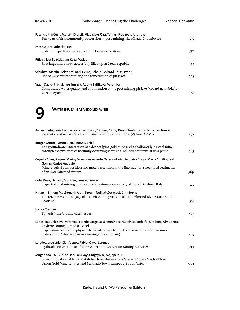| Peterka, Jiri; Čech, Martin; Draštík, Vladislav; Jůza, Tomáš; Frouzová, Jaroslava<br>Ten years of fish community succession in post-mining lake Milada-Chabařovice                                                                               | 535 |
|--------------------------------------------------------------------------------------------------------------------------------------------------------------------------------------------------------------------------------------------------|-----|
| Peterka, Jiri; Kubečka, Jan<br>Fish in the pit lakes - towards a functional ecosystem                                                                                                                                                            | 537 |
| Přikryl, Ivo; Špaček, Jan; Koza, Václav<br>First large mine lake successfully filled up in Czech republic                                                                                                                                        | 539 |
| Schultze, Martin; Pokrandt, Karl-Heinz; Scholz, Eckhard; Jolas, Peter<br>Use of mine water for filling and remediation of pit lakes                                                                                                              | 545 |
| Vrzal, David; Přikryl, Ivo; Truszyk, Adam; Fafílková, Veronika<br>Complicated water quality and stratification at the post mining-pit lake Medard near Sokolov,<br>Czech Republic                                                                | 551 |
| <b>WATER ISSUES IN ABANDONED MINES</b>                                                                                                                                                                                                           |     |
| Ardau, Carla; Frau, Franco; Ricci, Pier Carlo; Cannas, Carla; Dore, Elisabetta; Lattanzi, Pierfranco<br>Synthetic and natural Zn-Al sulphate LDHs for removal of As(V) from NAMD                                                                 | 559 |
| Burger, Morne; Vermeulen, Petrus Daniel<br>The groundwater interaction of a deeper lying gold mine and a shallower lying coal mine<br>through the presence of naturally occurring as well as induced preferential flow paths                     | 563 |
| Cepeda Alves, Raquel Maria; Fernandes Valente, Teresa Maria; Sequeira Braga, Maria Amália; Leal<br>Gomes, Carlos Augusto<br>Mineralogical composition and metals retention in the fine-fraction streambed sediments<br>of an AMD affected system | 569 |
| Cidu, Rosa; Da Pelo, Stefania; Franco, Franco<br>Impact of gold mining on the aquatic system: a case study at Furtei (Sardinia, Italy)                                                                                                           | 575 |
| Haunch, Simon; MacDonald, Alan; Brown, Neil; McDermott, Christopher<br>The Environmental Legacy of Historic Mining Activities in the Almond River Catchment,<br>Scotland                                                                         | 581 |
| Henry, Tiernan<br>Tynagh Mine Groundwater Issues                                                                                                                                                                                                 | 587 |
| Larios, Raquel; Silva, Verónica; Loredo, Jorge Luis; Fernández-Martínez, Rodolfo; Ordóñez, Almudena;<br>Calderón, Amor; Rucandio, Isabel                                                                                                         |     |
| Implications of several physicochemical parameters in the arsenic speciation in mine<br>waters from Asturias mercury mining district (Spain)                                                                                                     | 593 |
| Loredo, Jorge Luis; Cienfuegos, Pablo; Gaya, Lorenzo<br>Hydraulic Potential Use of Mine Water from Mountain Mining Activities                                                                                                                    | 599 |
| Magonono, FA; Gumbo, Jabulani Ray; Chigayo, K; Mojapelo, P<br>Bioaccumulation of Toxic Metals by Hyparrhenia Grass Species: A Case Study of New<br>Union Gold Mine Tailings and Makhado Town, Limpopo, South Africa                              | 603 |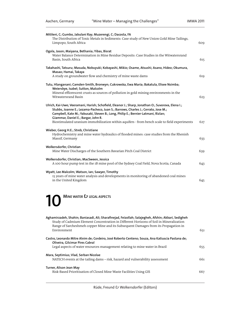| Mitileni, C; Gumbo, Jabulani Ray; Muzerengi, C; Dacosta, FA<br>The Distribution of Toxic Metals in Sediments: Case study of New Union Gold Mine Tailings,<br>Limpopo, South Africa                                                                                                                                                                                                                                   | 609 |
|----------------------------------------------------------------------------------------------------------------------------------------------------------------------------------------------------------------------------------------------------------------------------------------------------------------------------------------------------------------------------------------------------------------------|-----|
| Ogola, Jason; Maiyana, Bethania; Yibas, Bisrat<br>Water Balance Determination in Mine Residue Deposits: Case Studies in the Witwatersrand<br>Basin, South Africa                                                                                                                                                                                                                                                     | 615 |
| Takahashi, Tatsuru; Masuda, Nobuyuki; Kobayashi, Mikio; Osame, Atsushi; Asano, Hideo; Okumura,<br>Masao; Hamai, Takaya<br>A study on groundwater flow and chemistry of mine waste dams                                                                                                                                                                                                                               | 619 |
| Tutu, Hlanganani; Camden-Smith, Bronwyn; Cukrowska, Ewa Maria; Bakatula, Elisee Nsimba;<br>Weiersbye, Isabel; Sutton, Malcolm<br>Mineral efflorescent crusts as sources of pollution in gold mining environments in the<br>Witwatersrand Basin                                                                                                                                                                       | 623 |
| Ulrich, Kai-Uwe; Veeramani, Harish; Schofield, Eleanor J.; Sharp, Jonathan O.; Suvorova, Elena I.;<br>Stubbs, Joanne E.; Lezama-Pacheco, Juan S.; Barrows, Charles J.; Cerrato, Jose M.;<br>Campbell, Kate M.; Yabusaki, Steven B.; Long, Philip E.; Bernier-Latmani, Rizlan;<br>Giammar, Daniel E.; Bargar, John R.<br>Biostimulated uranium immobilization within aquifers - from bench scale to field experiments | 627 |
| Wieber, Georg H.E.; Streb, Christiane<br>Hydrochemistry and mine water hydraulics of flooded mines: case studies from the Rhenish<br>Massif, Germany                                                                                                                                                                                                                                                                 | 633 |
| Wolkersdorfer, Christian<br>Mine Water Discharges of the Southern Bavarian Pitch Coal District                                                                                                                                                                                                                                                                                                                       | 639 |
| Wolkersdorfer, Christian; MacSween, Jessica<br>A 100 hour pump test in the 1B mine pool of the Sydney Coal Field, Nova Scotia, Canada                                                                                                                                                                                                                                                                                | 643 |
| Wyatt, Lee Malcolm; Watson, Ian; Sawyer, Timothy<br>15 years of mine water analysis and developments in monitoring of abandoned coal mines<br>in the United Kingdom                                                                                                                                                                                                                                                  | 645 |
| MINE WATER & LEGAL ASPECTS                                                                                                                                                                                                                                                                                                                                                                                           |     |
|                                                                                                                                                                                                                                                                                                                                                                                                                      |     |

| Aghamirzadeh, Shahin; Baniasadi, Ali; Sharafinejad, Feizollah; Salajegheh, Afshin; Akbari, Sedigheh<br>Study of Cadmium Element Concentration in Different Horizons of Soil in Mineralization<br>Range of Sarcheshmeh copper Mine and its Subsequent Damages from its Propagation in<br>Environment | 651 |
|-----------------------------------------------------------------------------------------------------------------------------------------------------------------------------------------------------------------------------------------------------------------------------------------------------|-----|
| Castro, Leonardo Mitre Alvim de; Cordeiro, José Roberto Centeno; Souza, Ana Katiuscia Pastana de;<br>Oliveira, Gilcimar Pires Cabral                                                                                                                                                                |     |
| Legal aspects of water resources management relating to mine water in Brazil                                                                                                                                                                                                                        | 655 |
| Mara, Septimius; Vlad, Serban Nicolae<br>NATECH events at the tailing dams – risk, hazard and vulnerability assessment                                                                                                                                                                              | 661 |
| Turner, Alison Jean May<br>Risk-Based Prioritisation of Closed Mine Waste Facilities Using GIS                                                                                                                                                                                                      | 667 |